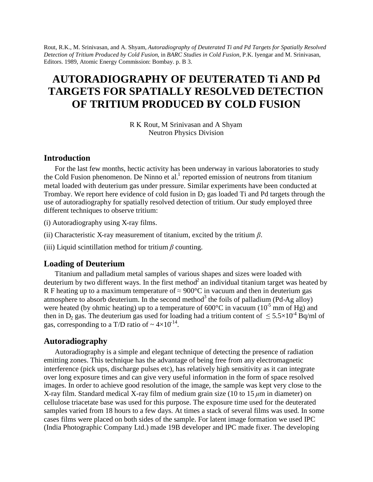Rout, R.K., M. Srinivasan, and A. Shyam, *Autoradiography of Deuterated Ti and Pd Targets for Spatially Resolved Detection of Tritium Produced by Cold Fusion*, in *BARC Studies in Cold Fusion*, P.K. Iyengar and M. Srinivasan, Editors. 1989, Atomic Energy Commission: Bombay. p. B 3.

# **AUTORADIOGRAPHY OF DEUTERATED Ti AND Pd TARGETS FOR SPATIALLY RESOLVED DETECTION OF TRITIUM PRODUCED BY COLD FUSION**

R K Rout, M Srinivasan and A Shyam Neutron Physics Division

## **Introduction**

For the last few months, hectic activity has been underway in various laboratories to study the Cold Fusion phenomenon. De Ninno et al.<sup>1</sup> reported emission of neutrons from titanium metal loaded with deuterium gas under pressure. Similar experiments have been conducted at Trombay. We report here evidence of cold fusion in  $D_2$  gas loaded Ti and Pd targets through the use of autoradiography for spatially resolved detection of tritium. Our study employed three different techniques to observe tritium:

- (i) Autoradiography using X-ray films.
- (ii) Characteristic X-ray measurement of titanium, excited by the tritium *β*.
- (iii) Liquid scintillation method for tritium  $\beta$  counting.

## **Loading of Deuterium**

Titanium and palladium metal samples of various shapes and sizes were loaded with deuterium by two different ways. In the first method<sup>2</sup> an individual titanium target was heated by R F heating up to a maximum temperature of  $\approx$  900°C in vacuum and then in deuterium gas atmosphere to absorb deuterium. In the second method<sup>3</sup> the foils of palladium (Pd-Ag alloy) were heated (by ohmic heating) up to a temperature of  $600^{\circ}$ C in vacuum ( $10^{-5}$  mm of Hg) and then in D<sub>2</sub> gas. The deuterium gas used for loading had a tritium content of  $\leq 5.5 \times 10^{-4}$  Bq/ml of gas, corresponding to a T/D ratio of  $\sim 4 \times 10^{-14}$ .

## **Autoradiography**

Autoradiography is a simple and elegant technique of detecting the presence of radiation emitting zones. This technique has the advantage of being free from any electromagnetic interference (pick ups, discharge pulses etc), has relatively high sensitivity as it can integrate over long exposure times and can give very useful information in the form of space resolved images. In order to achieve good resolution of the image, the sample was kept very close to the X-ray film. Standard medical X-ray film of medium grain size (10 to 15 *μ*m in diameter) on cellulose triacetate base was used for this purpose. The exposure time used for the deuterated samples varied from 18 hours to a few days. At times a stack of several films was used. In some cases films were placed on both sides of the sample. For latent image formation we used IPC (India Photographic Company Ltd.) made 19B developer and IPC made fixer. The developing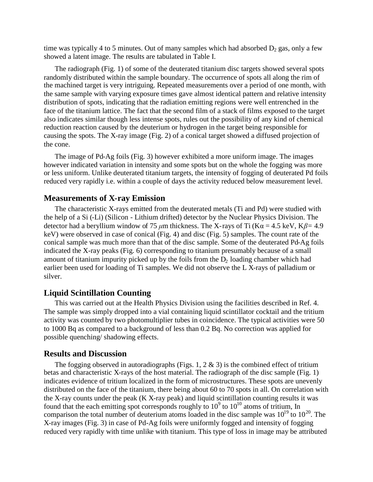time was typically 4 to 5 minutes. Out of many samples which had absorbed  $D_2$  gas, only a few showed a latent image. The results are tabulated in Table I.

The radiograph (Fig. 1) of some of the deuterated titanium disc targets showed several spots randomly distributed within the sample boundary. The occurrence of spots all along the rim of the machined target is very intriguing. Repeated measurements over a period of one month, with the same sample with varying exposure times gave almost identical pattern and relative intensity distribution of spots, indicating that the radiation emitting regions were well entrenched in the face of the titanium lattice. The fact that the second film of a stack of films exposed to the target also indicates similar though less intense spots, rules out the possibility of any kind of chemical reduction reaction caused by the deuterium or hydrogen in the target being responsible for causing the spots. The X-ray image (Fig. 2) of a conical target showed a diffused projection of the cone.

The image of Pd-Ag foils (Fig. 3) however exhibited a more uniform image. The images however indicated variation in intensity and some spots but on the whole the fogging was more or less uniform. Unlike deuterated titanium targets, the intensity of fogging of deuterated Pd foils reduced very rapidly i.e. within a couple of days the activity reduced below measurement level.

#### **Measurements of X-ray Emission**

The characteristic X-rays emitted from the deuterated metals (Ti and Pd) were studied with the help of a Si (-Li) (Silicon - Lithium drifted) detector by the Nuclear Physics Division. The detector had a beryllium window of 75  $\mu$ m thickness. The X-rays of Ti (K $\alpha$  = 4.5 keV, K $\beta$  = 4.9 keV) were observed in case of conical (Fig. 4) and disc (Fig. 5) samples. The count rate of the conical sample was much more than that of the disc sample. Some of the deuterated Pd-Ag foils indicated the X-ray peaks (Fig. 6) corresponding to titanium presumably because of a small amount of titanium impurity picked up by the foils from the  $D<sub>2</sub>$  loading chamber which had earlier been used for loading of Ti samples. We did not observe the L X-rays of palladium or silver.

#### **Liquid Scintillation Counting**

This was carried out at the Health Physics Division using the facilities described in Ref. 4. The sample was simply dropped into a vial containing liquid scintillator cocktail and the tritium activity was counted by two photomultiplier tubes in coincidence. The typical activities were 50 to 1000 Bq as compared to a background of less than 0.2 Bq. No correction was applied for possible quenching/ shadowing effects.

## **Results and Discussion**

The fogging observed in autoradiographs (Figs. 1, 2  $\&$  3) is the combined effect of tritium betas and characteristic X-rays of the host material. The radiograph of the disc sample (Fig. 1) indicates evidence of tritium localized in the form of microstructures. These spots are unevenly distributed on the face of the titanium, there being about 60 to 70 spots in all. On correlation with the X-ray counts under the peak (K X-ray peak) and liquid scintillation counting results it was found that the each emitting spot corresponds roughly to  $10^9$  to  $10^{10}$  atoms of tritium, In comparison the total number of deuterium atoms loaded in the disc sample was  $10^{19}$  to  $10^{20}$ . The X-ray images (Fig. 3) in case of Pd-Ag foils were uniformly fogged and intensity of fogging reduced very rapidly with time unlike with titanium. This type of loss in image may be attributed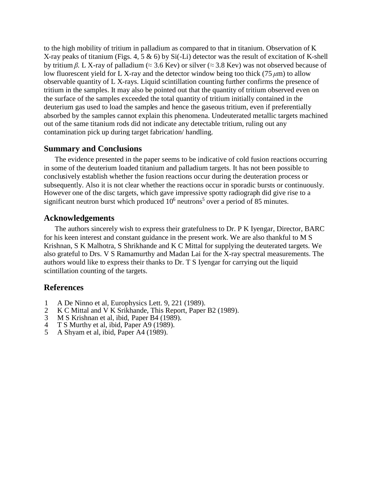to the high mobility of tritium in palladium as compared to that in titanium. Observation of Κ Χ-ray peaks of titanium (Figs. 4, 5 & 6) by Si(-Li) detector was the result of excitation of K-shell by tritium *β*. L X-ray of palladium ( $\approx$  3.6 Kev) or silver ( $\approx$  3.8 Kev) was not observed because of low fluorescent yield for L X-ray and the detector window being too thick (75 *μ*m) to allow observable quantity of L X-rays. Liquid scintillation counting further confirms the presence of tritium in the samples. It may also be pointed out that the quantity of tritium observed even on the surface of the samples exceeded the total quantity of tritium initially contained in the deuterium gas used to load the samples and hence the gaseous tritium, even if preferentially absorbed by the samples cannot explain this phenomena. Undeuterated metallic targets machined out of the same titanium rods did not indicate any detectable tritium, ruling out any contamination pick up during target fabrication/ handling.

# **Summary and Conclusions**

The evidence presented in the paper seems to be indicative of cold fusion reactions occurring in some of the deuterium loaded titanium and palladium targets. It has not been possible to conclusively establish whether the fusion reactions occur during the deuteration process or subsequently. Also it is not clear whether the reactions occur in sporadic bursts or continuously. However one of the disc targets, which gave impressive spotty radiograph did give rise to a significant neutron burst which produced  $10<sup>6</sup>$  neutrons<sup>5</sup> over a period of 85 minutes.

# **Acknowledgements**

The authors sincerely wish to express their gratefulness to Dr. P K Iyengar, Director, BARC for his keen interest and constant guidance in the present work. We are also thankful to M S Krishnan, S K Malhotra, S Shrikhande and K C Mittal for supplying the deuterated targets. We also grateful to Drs. V S Ramamurthy and Madan Lai for the X-ray spectral measurements. The authors would like to express their thanks to Dr. T S Iyengar for carrying out the liquid scintillation counting of the targets.

# **References**

- 1 A De Ninno et al, Europhysics Lett. 9, 221 (1989).
- 2 K C Mittal and V K Srikhande, This Report, Paper B2 (1989).<br>3 M S Krishnan et al. ibid. Paper B4 (1989).
- 3 M S Krishnan et al, ibid, Paper B4 (1989).<br>4 T S Murthy et al, ibid, Paper A9 (1989).
- 4 T S Murthy et al, ibid, Paper A9 (1989).<br>5 A Shyam et al, ibid, Paper A4 (1989).
- 5 A Shyam et al, ibid, Paper A4 (1989).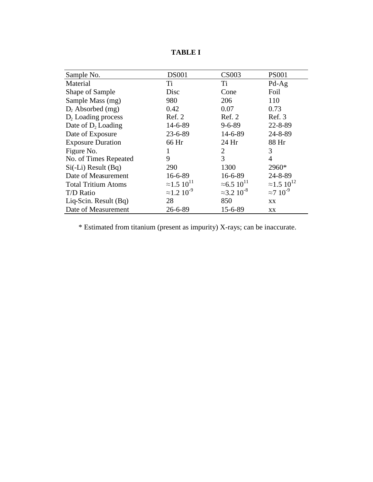| Sample No.                 | <b>DS001</b>                   | <b>CS003</b>                   | <b>PS001</b>                   |
|----------------------------|--------------------------------|--------------------------------|--------------------------------|
| Material                   | Ti                             | Ti                             | $Pd-Ag$                        |
| Shape of Sample            | Disc                           | Cone                           | Foil                           |
| Sample Mass (mg)           | 980                            | 206                            | 110                            |
| $D_2$ Absorbed (mg)        | 0.42                           | 0.07                           | 0.73                           |
| $D_2$ Loading process      | Ref. 2                         | Ref. 2                         | Ref. 3                         |
| Date of $D_2$ Loading      | $14 - 6 - 89$                  | $9 - 6 - 89$                   | $22 - 8 - 89$                  |
| Date of Exposure           | $23 - 6 - 89$                  | 14-6-89                        | $24 - 8 - 89$                  |
| <b>Exposure Duration</b>   | 66 Hr                          | 24 Hr                          | 88 Hr                          |
| Figure No.                 | 1                              | 2                              | 3                              |
| No. of Times Repeated      | 9                              | 3                              | 4                              |
| $Si(-Li)$ Result (Bq)      | 290                            | 1300                           | 2960*                          |
| Date of Measurement        | $16 - 6 - 89$                  | $16 - 6 - 89$                  | $24 - 8 - 89$                  |
| <b>Total Tritium Atoms</b> | $\approx$ 1.5 10 <sup>11</sup> | $\approx 6.5 10^{11}$          | $\approx$ 1.5 10 <sup>12</sup> |
| T/D Ratio                  | $\approx$ 1.2 10 <sup>-9</sup> | $\approx$ 3.2 10 <sup>-8</sup> | $\approx$ 7 10 <sup>-9</sup>   |
| Liq-Scin. Result $(Bq)$    | 28                             | 850                            | XX                             |
| Date of Measurement        | $26 - 6 - 89$                  | 15-6-89                        | XX                             |

**TABLE I**

\* Estimated from titanium (present as impurity) X-rays; can be inaccurate.